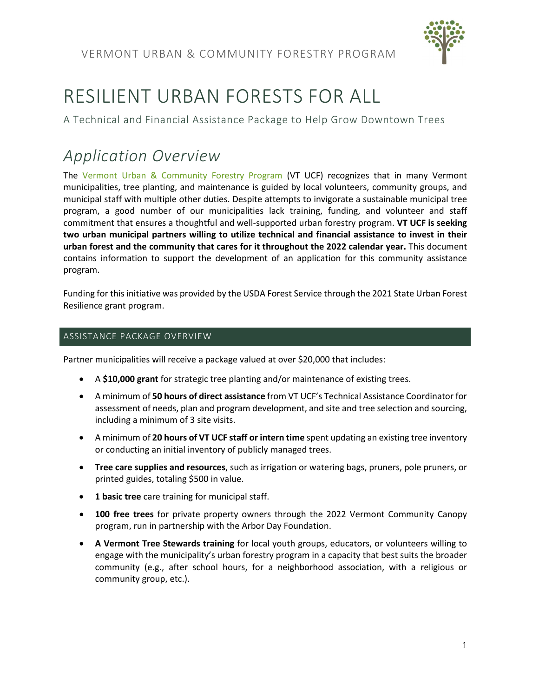

# RESILIENT URBAN FORESTS FOR ALL

A Technical and Financial Assistance Package to Help Grow Downtown Trees

# *Application Overview*

The [Vermont Urban & Community Forestry Program](http://www.vtcommunityforestry.org/) (VT UCF) recognizes that in many Vermont municipalities, tree planting, and maintenance is guided by local volunteers, community groups, and municipal staff with multiple other duties. Despite attempts to invigorate a sustainable municipal tree program, a good number of our municipalities lack training, funding, and volunteer and staff commitment that ensures a thoughtful and well-supported urban forestry program. **VT UCF is seeking two urban municipal partners willing to utilize technical and financial assistance to invest in their urban forest and the community that cares for it throughout the 2022 calendar year.** This document contains information to support the development of an application for this community assistance program.

Funding for this initiative was provided by the USDA Forest Service through the 2021 State Urban Forest Resilience grant program.

# ASSISTANCE PACKAGE OVERVIEW

Partner municipalities will receive a package valued at over \$20,000 that includes:

- A **\$10,000 grant** for strategic tree planting and/or maintenance of existing trees.
- A minimum of **50 hours of direct assistance** from VT UCF's Technical Assistance Coordinator for assessment of needs, plan and program development, and site and tree selection and sourcing, including a minimum of 3 site visits.
- A minimum of **20 hours of VT UCF staff or intern time** spent updating an existing tree inventory or conducting an initial inventory of publicly managed trees.
- **Tree care supplies and resources**, such as irrigation or watering bags, pruners, pole pruners, or printed guides, totaling \$500 in value.
- **1 basic tree** care training for municipal staff.
- **100 free trees** for private property owners through the 2022 Vermont Community Canopy program, run in partnership with the Arbor Day Foundation.
- **A Vermont Tree Stewards training** for local youth groups, educators, or volunteers willing to engage with the municipality's urban forestry program in a capacity that best suits the broader community (e.g., after school hours, for a neighborhood association, with a religious or community group, etc.).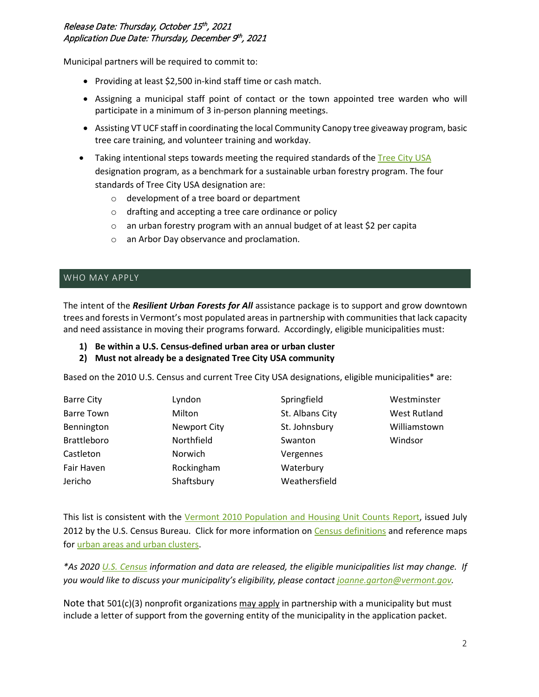# Release Date: Thursday, October 15th, 2021 Application Due Date: Thursday, December 9th, 2021

Municipal partners will be required to commit to:

- Providing at least \$2,500 in-kind staff time or cash match.
- Assigning a municipal staff point of contact or the town appointed tree warden who will participate in a minimum of 3 in-person planning meetings.
- Assisting VT UCF staff in coordinating the local Community Canopy tree giveaway program, basic tree care training, and volunteer training and workday.
- Taking intentional steps towards meeting the required standards of the [Tree City USA](https://www.arborday.org/programs/treecityusa/) designation program, as a benchmark for a sustainable urban forestry program. The four standards of Tree City USA designation are:
	- o development of a tree board or department
	- o drafting and accepting a tree care ordinance or policy
	- o an urban forestry program with an annual budget of at least \$2 per capita
	- o an Arbor Day observance and proclamation.

#### WHO MAY APPLY

The intent of the *Resilient Urban Forests for All* assistance package is to support and grow downtown trees and forests in Vermont's most populated areas in partnership with communities that lack capacity and need assistance in moving their programs forward. Accordingly, eligible municipalities must:

- **1) Be within a U.S. Census-defined urban area or urban cluster**
- **2) Must not already be a designated Tree City USA community**

Based on the 2010 U.S. Census and current Tree City USA designations, eligible municipalities\* are:

| <b>Barre City</b>  | Lyndon              | Springfield     | Westminster         |
|--------------------|---------------------|-----------------|---------------------|
| <b>Barre Town</b>  | Milton              | St. Albans City | <b>West Rutland</b> |
| Bennington         | <b>Newport City</b> | St. Johnsbury   | Williamstown        |
| <b>Brattleboro</b> | Northfield          | Swanton         | Windsor             |
| Castleton          | Norwich             | Vergennes       |                     |
| <b>Fair Haven</b>  | Rockingham          | Waterbury       |                     |
| Jericho            | Shaftsbury          | Weathersfield   |                     |

This list is consistent with the [Vermont 2010 Population and Housing Unit Counts Report,](https://www.census.gov/prod/cen2010/cph-2-47.pdf) issued July 2012 by the U.S. Census Bureau. Click for more information on [Census definitions](https://www.census.gov/programs-surveys/geography/about/faq/2010-urban-area-faq.html) and reference maps fo[r urban areas and urban clusters.](https://www.census.gov/geographies/reference-maps/2010/geo/2010-census-urban-areas.html)

*\*As 2020 [U.S. Census](https://www.census.gov/) information and data are released, the eligible municipalities list may change. If you would like to discuss your municipality's eligibility, please contact [joanne.garton@vermont.gov.](mailto:joanne.garton@vermont.gov)* 

Note that 501(c)(3) nonprofit organizations may apply in partnership with a municipality but must include a letter of support from the governing entity of the municipality in the application packet.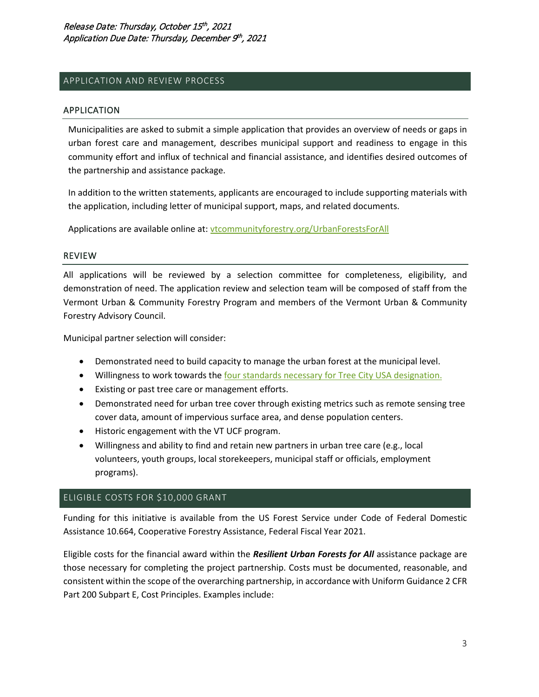#### APPLICATION AND REVIEW PROCESS

#### APPLICATION

Municipalities are asked to submit a simple application that provides an overview of needs or gaps in urban forest care and management, describes municipal support and readiness to engage in this community effort and influx of technical and financial assistance, and identifies desired outcomes of the partnership and assistance package.

In addition to the written statements, applicants are encouraged to include supporting materials with the application, including letter of municipal support, maps, and related documents.

Applications are available online at: [vtcommunityforestry.org/UrbanForestsForAll](https://vtcommunityforestry.org/UrbanForestsForAll)

#### REVIEW

All applications will be reviewed by a selection committee for completeness, eligibility, and demonstration of need. The application review and selection team will be composed of staff from the Vermont Urban & Community Forestry Program and members of the Vermont Urban & Community Forestry Advisory Council.

Municipal partner selection will consider:

- Demonstrated need to build capacity to manage the urban forest at the municipal level.
- Willingness to work towards th[e four standards necessary for Tree City USA designation.](https://www.arborday.org/programs/treecityusa/)
- Existing or past tree care or management efforts.
- Demonstrated need for urban tree cover through existing metrics such as remote sensing tree cover data, amount of impervious surface area, and dense population centers.
- Historic engagement with the VT UCF program.
- Willingness and ability to find and retain new partners in urban tree care (e.g., local volunteers, youth groups, local storekeepers, municipal staff or officials, employment programs).

#### ELIGIBLE COSTS FOR \$10,000 GRANT

Funding for this initiative is available from the US Forest Service under Code of Federal Domestic Assistance 10.664, Cooperative Forestry Assistance, Federal Fiscal Year 2021.

Eligible costs for the financial award within the *Resilient Urban Forests for All* assistance package are those necessary for completing the project partnership. Costs must be documented, reasonable, and consistent within the scope of the overarching partnership, in accordance with Uniform Guidance 2 CFR Part 200 Subpart E, Cost Principles. Examples include: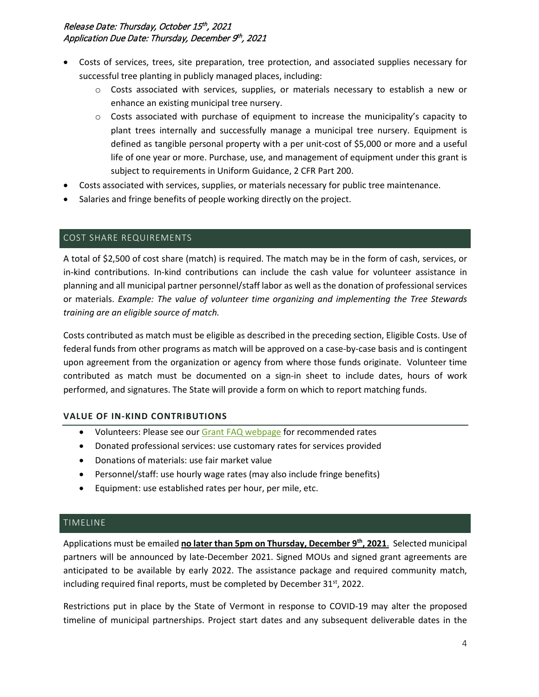# Release Date: Thursday, October 15th, 2021 Application Due Date: Thursday, December 9th, 2021

- Costs of services, trees, site preparation, tree protection, and associated supplies necessary for successful tree planting in publicly managed places, including:
	- o Costs associated with services, supplies, or materials necessary to establish a new or enhance an existing municipal tree nursery.
	- $\circ$  Costs associated with purchase of equipment to increase the municipality's capacity to plant trees internally and successfully manage a municipal tree nursery. Equipment is defined as tangible personal property with a per unit-cost of \$5,000 or more and a useful life of one year or more. Purchase, use, and management of equipment under this grant is subject to requirements in Uniform Guidance, 2 CFR Part 200.
- Costs associated with services, supplies, or materials necessary for public tree maintenance.
- Salaries and fringe benefits of people working directly on the project.

#### COST SHARE REQUIREMENTS

A total of \$2,500 of cost share (match) is required. The match may be in the form of cash, services, or in-kind contributions. In-kind contributions can include the cash value for volunteer assistance in planning and all municipal partner personnel/staff labor as well as the donation of professional services or materials. *Example: The value of volunteer time organizing and implementing the Tree Stewards training are an eligible source of match.* 

Costs contributed as match must be eligible as described in the preceding section, Eligible Costs. Use of federal funds from other programs as match will be approved on a case-by-case basis and is contingent upon agreement from the organization or agency from where those funds originate. Volunteer time contributed as match must be documented on a sign-in sheet to include dates, hours of work performed, and signatures. The State will provide a form on which to report matching funds.

# **VALUE OF IN-KIND CONTRIBUTIONS**

- Volunteers: Please see our [Grant FAQ webpage](https://vtcommunityforestry.org/programs/financial-assistance/faq-ucf-grant-recipients) for recommended rates
- Donated professional services: use customary rates for services provided
- Donations of materials: use fair market value
- Personnel/staff: use hourly wage rates (may also include fringe benefits)
- Equipment: use established rates per hour, per mile, etc.

#### TIMELINE

Applications must be emailed **no later than 5pm on Thursday, December 9th, 2021**. Selected municipal partners will be announced by late-December 2021. Signed MOUs and signed grant agreements are anticipated to be available by early 2022. The assistance package and required community match, including required final reports, must be completed by December  $31<sup>st</sup>$ , 2022.

Restrictions put in place by the State of Vermont in response to COVID-19 may alter the proposed timeline of municipal partnerships. Project start dates and any subsequent deliverable dates in the